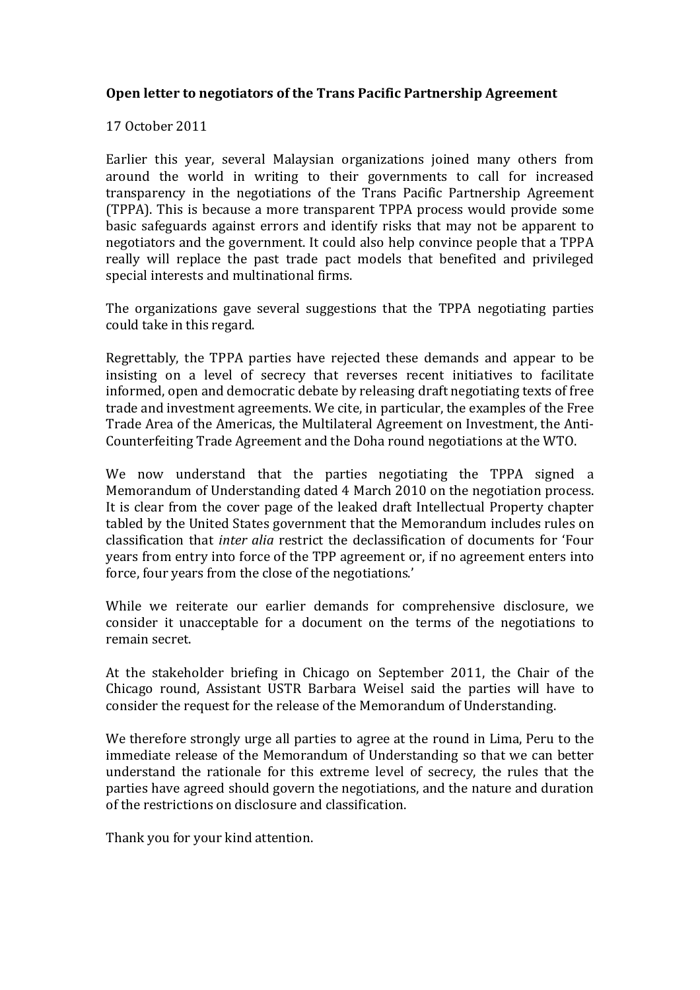## **Open letter to negotiators of the Trans Pacific Partnership Agreement**

17!October!2011

Earlier this year, several Malaysian organizations joined many others from around the world in writing to their governments to call for increased transparency in the negotiations of the Trans Pacific Partnership Agreement (TPPA). This is because a more transparent TPPA process would provide some basic safeguards against errors and identify risks that may not be apparent to negotiators and the government. It could also help convince people that a TPPA really will replace the past trade pact models that benefited and privileged special interests and multinational firms.

The organizations gave several suggestions that the TPPA negotiating parties could take in this regard.

Regrettably, the TPPA parties have rejected these demands and appear to be insisting on a level of secrecy that reverses recent initiatives to facilitate informed, open and democratic debate by releasing draft negotiating texts of free trade and investment agreements. We cite, in particular, the examples of the Free Trade Area of the Americas, the Multilateral Agreement on Investment, the Anti-Counterfeiting Trade Agreement and the Doha round negotiations at the WTO.

We now understand that the parties negotiating the TPPA signed a Memorandum of Understanding dated 4 March 2010 on the negotiation process. It is clear from the cover page of the leaked draft Intellectual Property chapter tabled by the United States government that the Memorandum includes rules on classification that *inter alia* restrict the declassification of documents for 'Four years from entry into force of the TPP agreement or, if no agreement enters into force, four years from the close of the negotiations.'

While we reiterate our earlier demands for comprehensive disclosure, we consider it unacceptable for a document on the terms of the negotiations to remain secret.

At the stakeholder briefing in Chicago on September 2011, the Chair of the Chicago round, Assistant USTR Barbara Weisel said the parties will have to consider the request for the release of the Memorandum of Understanding.

We therefore strongly urge all parties to agree at the round in Lima, Peru to the immediate release of the Memorandum of Understanding so that we can better understand the rationale for this extreme level of secrecy, the rules that the parties have agreed should govern the negotiations, and the nature and duration of the restrictions on disclosure and classification.

Thank you for your kind attention.